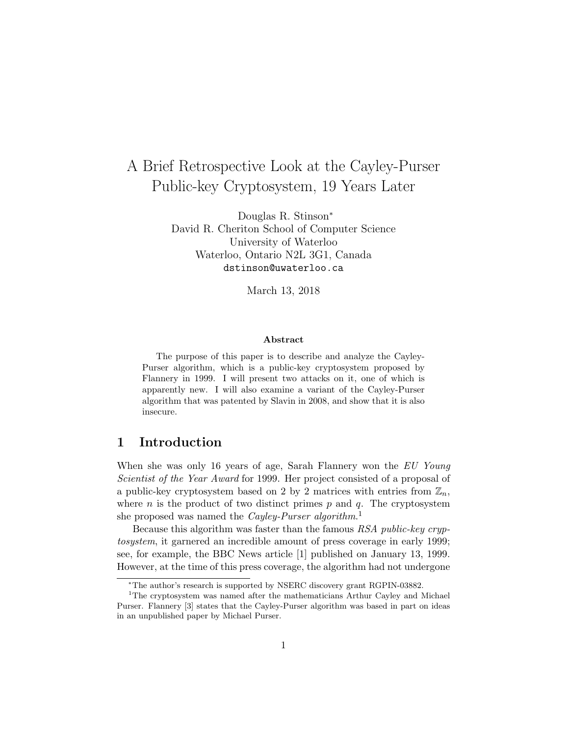# A Brief Retrospective Look at the Cayley-Purser Public-key Cryptosystem, 19 Years Later

Douglas R. Stinson<sup>∗</sup> David R. Cheriton School of Computer Science University of Waterloo Waterloo, Ontario N2L 3G1, Canada dstinson@uwaterloo.ca

March 13, 2018

#### Abstract

The purpose of this paper is to describe and analyze the Cayley-Purser algorithm, which is a public-key cryptosystem proposed by Flannery in 1999. I will present two attacks on it, one of which is apparently new. I will also examine a variant of the Cayley-Purser algorithm that was patented by Slavin in 2008, and show that it is also insecure.

## 1 Introduction

When she was only 16 years of age, Sarah Flannery won the EU Young Scientist of the Year Award for 1999. Her project consisted of a proposal of a public-key cryptosystem based on 2 by 2 matrices with entries from  $\mathbb{Z}_n$ , where  $n$  is the product of two distinct primes  $p$  and  $q$ . The cryptosystem she proposed was named the *Cayley-Purser algorithm*.<sup>1</sup>

Because this algorithm was faster than the famous RSA public-key cryptosystem, it garnered an incredible amount of press coverage in early 1999; see, for example, the BBC News article [1] published on January 13, 1999. However, at the time of this press coverage, the algorithm had not undergone

<sup>∗</sup>The author's research is supported by NSERC discovery grant RGPIN-03882.

<sup>&</sup>lt;sup>1</sup>The cryptosystem was named after the mathematicians Arthur Cayley and Michael Purser. Flannery [3] states that the Cayley-Purser algorithm was based in part on ideas in an unpublished paper by Michael Purser.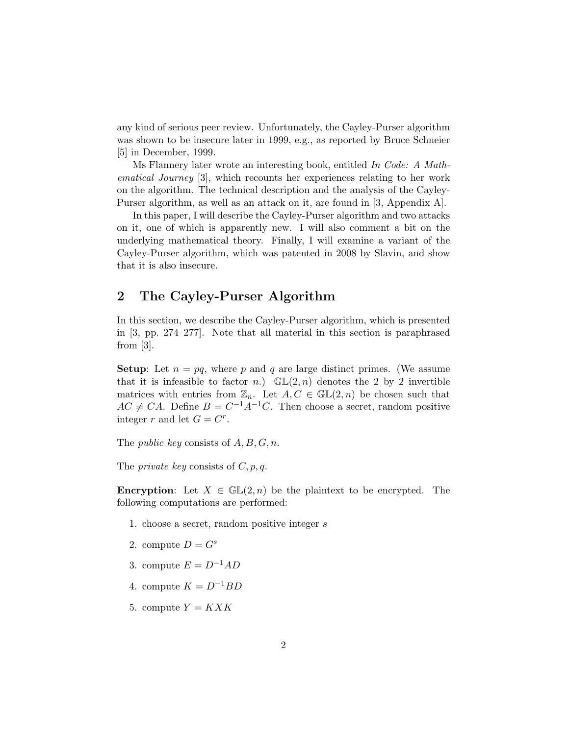any kind of serious peer review. Unfortunately, the Cayley-Purser algorithm was shown to be insecure later in 1999, e.g., as reported by Bruce Schneier [5] in December, 1999.

Ms Flannery later wrote an interesting book, entitled In Code: A Mathematical Journey [3], which recounts her experiences relating to her work on the algorithm. The technical description and the analysis of the Cayley-Purser algorithm, as well as an attack on it, are found in [3, Appendix A].

In this paper, I will describe the Cayley-Purser algorithm and two attacks on it, one of which is apparently new. I will also comment a bit on the underlying mathematical theory. Finally, I will examine a variant of the Cayley-Purser algorithm, which was patented in 2008 by Slavin, and show that it is also insecure.

# 2 The Cayley-Purser Algorithm

In this section, we describe the Cayley-Purser algorithm, which is presented in [3, pp. 274–277]. Note that all material in this section is paraphrased from [3].

**Setup:** Let  $n = pq$ , where p and q are large distinct primes. (We assume that it is infeasible to factor n.)  $\mathbb{GL}(2,n)$  denotes the 2 by 2 invertible matrices with entries from  $\mathbb{Z}_n$ . Let  $A, C \in \mathbb{GL}(2, n)$  be chosen such that  $AC \neq CA$ . Define  $B = C^{-1}A^{-1}C$ . Then choose a secret, random positive integer r and let  $G = C^r$ .

The *public key* consists of  $A, B, G, n$ .

The *private key* consists of  $C, p, q$ .

**Encryption:** Let  $X \in \mathbb{GL}(2,n)$  be the plaintext to be encrypted. The following computations are performed:

- 1. choose a secret, random positive integer s
- 2. compute  $D = G^s$
- 3. compute  $E = D^{-1}AD$
- 4. compute  $K = D^{-1}BD$
- 5. compute  $Y = K X K$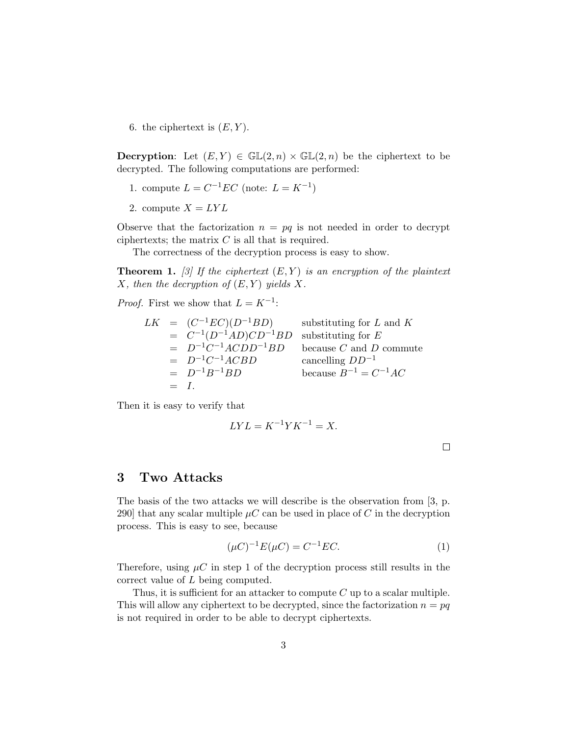6. the ciphertext is  $(E, Y)$ .

**Decryption:** Let  $(E, Y) \in \mathbb{GL}(2, n) \times \mathbb{GL}(2, n)$  be the ciphertext to be decrypted. The following computations are performed:

- 1. compute  $L = C^{-1}EC$  (note:  $L = K^{-1}$ )
- 2. compute  $X = LYL$

Observe that the factorization  $n = pq$  is not needed in order to decrypt ciphertexts; the matrix  $C$  is all that is required.

The correctness of the decryption process is easy to show.

**Theorem 1.** [3] If the ciphertext  $(E, Y)$  is an encryption of the plaintext X, then the decryption of  $(E, Y)$  yields X.

*Proof.* First we show that  $L = K^{-1}$ :

$$
LK = (C^{-1}EC)(D^{-1}BD)
$$
 substituting for *L* and *K*  
\n
$$
= C^{-1}(D^{-1}AD)CD^{-1}BD
$$
 substituting for *E*  
\n
$$
= D^{-1}C^{-1}ACDD^{-1}BD
$$
 because *C* and *D* commute  
\n
$$
= D^{-1}C^{-1}ACBD
$$
 cancelling  $DD^{-1}$   
\n
$$
= D^{-1}B^{-1}BD
$$
 because  $B^{-1} = C^{-1}AC$   
\n
$$
= I.
$$

Then it is easy to verify that

$$
LYL = K^{-1}YK^{-1} = X.
$$

 $\Box$ 

## 3 Two Attacks

The basis of the two attacks we will describe is the observation from [3, p. 290] that any scalar multiple  $\mu C$  can be used in place of C in the decryption process. This is easy to see, because

$$
(\mu C)^{-1} E(\mu C) = C^{-1} E C.
$$
 (1)

Therefore, using  $\mu C$  in step 1 of the decryption process still results in the correct value of L being computed.

Thus, it is sufficient for an attacker to compute  $C$  up to a scalar multiple. This will allow any ciphertext to be decrypted, since the factorization  $n = pq$ is not required in order to be able to decrypt ciphertexts.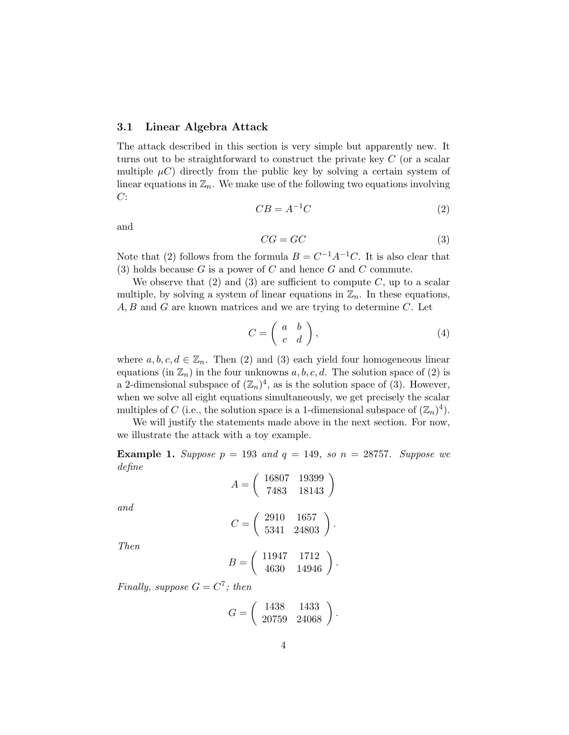### 3.1 Linear Algebra Attack

The attack described in this section is very simple but apparently new. It turns out to be straightforward to construct the private key C (or a scalar multiple  $\mu$ C) directly from the public key by solving a certain system of linear equations in  $\mathbb{Z}_n$ . We make use of the following two equations involving  $C$ :

$$
CB = A^{-1}C \tag{2}
$$

and

$$
CG = GC \tag{3}
$$

Note that (2) follows from the formula  $B = C^{-1}A^{-1}C$ . It is also clear that (3) holds because  $G$  is a power of  $C$  and hence  $G$  and  $C$  commute.

We observe that  $(2)$  and  $(3)$  are sufficient to compute C, up to a scalar multiple, by solving a system of linear equations in  $\mathbb{Z}_n$ . In these equations,  $A, B$  and  $G$  are known matrices and we are trying to determine  $C$ . Let

$$
C = \left(\begin{array}{cc} a & b \\ c & d \end{array}\right),\tag{4}
$$

where  $a, b, c, d \in \mathbb{Z}_n$ . Then (2) and (3) each yield four homogeneous linear equations (in  $\mathbb{Z}_n$ ) in the four unknowns  $a, b, c, d$ . The solution space of (2) is a 2-dimensional subspace of  $(\mathbb{Z}_n)^4$ , as is the solution space of (3). However, when we solve all eight equations simultaneously, we get precisely the scalar multiples of C (i.e., the solution space is a 1-dimensional subspace of  $(\mathbb{Z}_n)^4$ ).

We will justify the statements made above in the next section. For now, we illustrate the attack with a toy example.

**Example 1.** Suppose  $p = 193$  and  $q = 149$ , so  $n = 28757$ . Suppose we define

$$
A = \left(\begin{array}{cc} 16807 & 19399 \\ 7483 & 18143 \end{array}\right)
$$

and

$$
C = \left(\begin{array}{cc} 2910 & 1657 \\ 5341 & 24803 \end{array}\right).
$$

Then

$$
B = \left(\begin{array}{cc} 11947 & 1712 \\ 4630 & 14946 \end{array}\right).
$$

Finally, suppose  $G = C^7$ ; then

$$
G = \left(\begin{array}{cc} 1438 & 1433 \\ 20759 & 24068 \end{array}\right).
$$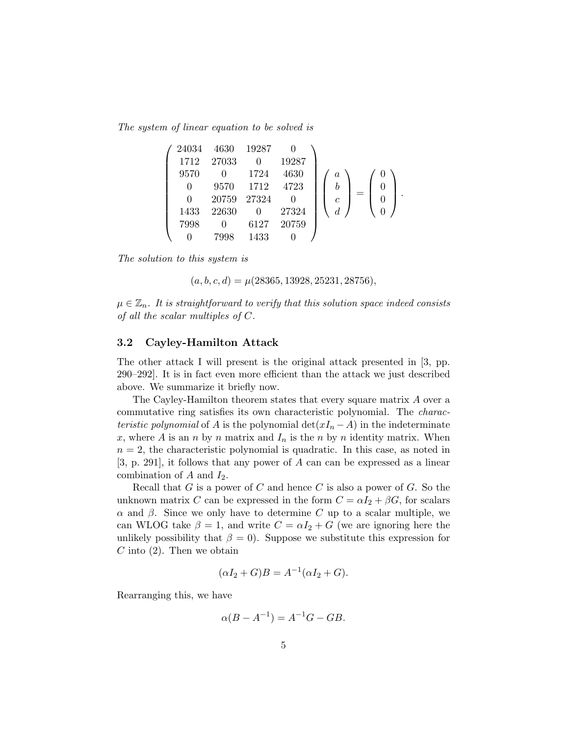The system of linear equation to be solved is

| 24034 | 4630  | 19287 |       |                  |  |  |
|-------|-------|-------|-------|------------------|--|--|
| 1712  | 27033 |       | 19287 |                  |  |  |
| 9570  |       | 1724  | 4630  | $\boldsymbol{a}$ |  |  |
|       | 9570  | 1712  | 4723  | b                |  |  |
|       | 20759 | 27324 |       | $\mathfrak c$    |  |  |
| 1433  | 22630 |       | 27324 |                  |  |  |
| 7998  |       | 6127  | 20759 |                  |  |  |
|       |       | 1433  |       |                  |  |  |

The solution to this system is

$$
(a, b, c, d) = \mu(28365, 13928, 25231, 28756),
$$

 $\mu \in \mathbb{Z}_n$ . It is straightforward to verify that this solution space indeed consists of all the scalar multiples of C.

### 3.2 Cayley-Hamilton Attack

The other attack I will present is the original attack presented in [3, pp. 290–292]. It is in fact even more efficient than the attack we just described above. We summarize it briefly now.

The Cayley-Hamilton theorem states that every square matrix A over a commutative ring satisfies its own characteristic polynomial. The characteristic polynomial of A is the polynomial  $\det(xI_n - A)$  in the indeterminate x, where A is an n by n matrix and  $I_n$  is the n by n identity matrix. When  $n = 2$ , the characteristic polynomial is quadratic. In this case, as noted in [3, p. 291], it follows that any power of A can can be expressed as a linear combination of  $A$  and  $I_2$ .

Recall that  $G$  is a power of  $C$  and hence  $C$  is also a power of  $G$ . So the unknown matrix C can be expressed in the form  $C = \alpha I_2 + \beta G$ , for scalars α and β. Since we only have to determine C up to a scalar multiple, we can WLOG take  $\beta = 1$ , and write  $C = \alpha I_2 + G$  (we are ignoring here the unlikely possibility that  $\beta = 0$ . Suppose we substitute this expression for  $C$  into  $(2)$ . Then we obtain

$$
(\alpha I_2 + G)B = A^{-1}(\alpha I_2 + G).
$$

Rearranging this, we have

$$
\alpha(B - A^{-1}) = A^{-1}G - GB.
$$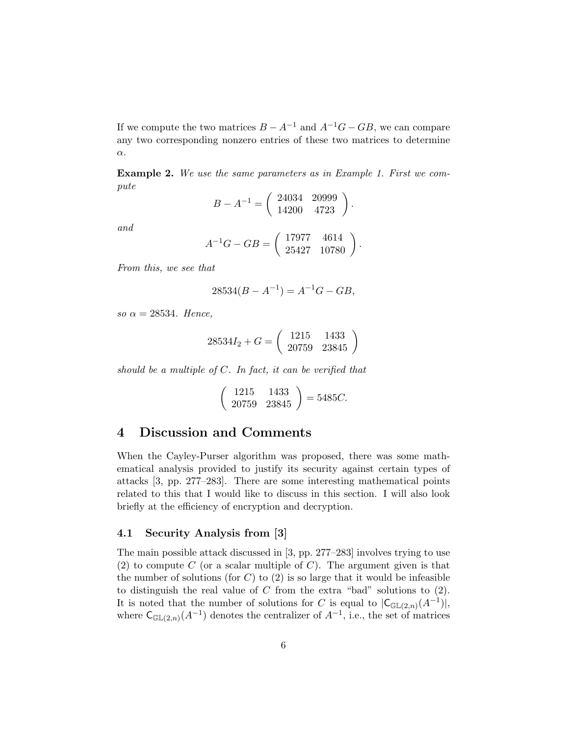If we compute the two matrices  $B - A^{-1}$  and  $A^{-1}G - GB$ , we can compare any two corresponding nonzero entries of these two matrices to determine α.

Example 2. We use the same parameters as in Example 1. First we compute

$$
B - A^{-1} = \begin{pmatrix} 24034 & 20999 \\ 14200 & 4723 \end{pmatrix}.
$$

and

$$
A^{-1}G - GB = \left(\begin{array}{cc} 17977 & 4614 \\ 25427 & 10780 \end{array}\right).
$$

From this, we see that

$$
28534(B - A^{-1}) = A^{-1}G - GB,
$$

so  $\alpha = 28534$ . Hence,

$$
28534I_2 + G = \left(\begin{array}{cc} 1215 & 1433 \\ 20759 & 23845 \end{array}\right)
$$

should be a multiple of  $C$ . In fact, it can be verified that

$$
\left(\begin{array}{cc} 1215 & 1433 \\ 20759 & 23845 \end{array}\right) = 5485C.
$$

## 4 Discussion and Comments

When the Cayley-Purser algorithm was proposed, there was some mathematical analysis provided to justify its security against certain types of attacks [3, pp. 277–283]. There are some interesting mathematical points related to this that I would like to discuss in this section. I will also look briefly at the efficiency of encryption and decryption.

## 4.1 Security Analysis from [3]

The main possible attack discussed in [3, pp. 277–283] involves trying to use (2) to compute C (or a scalar multiple of C). The argument given is that the number of solutions (for  $C$ ) to  $(2)$  is so large that it would be infeasible to distinguish the real value of  $C$  from the extra "bad" solutions to  $(2)$ . It is noted that the number of solutions for C is equal to  $|C_{\mathbb{GL}(2,n)}(A^{-1})|$ , where  $\mathsf{C}_{\mathbb{G}\mathbb{L}(2,n)}(A^{-1})$  denotes the centralizer of  $A^{-1}$ , i.e., the set of matrices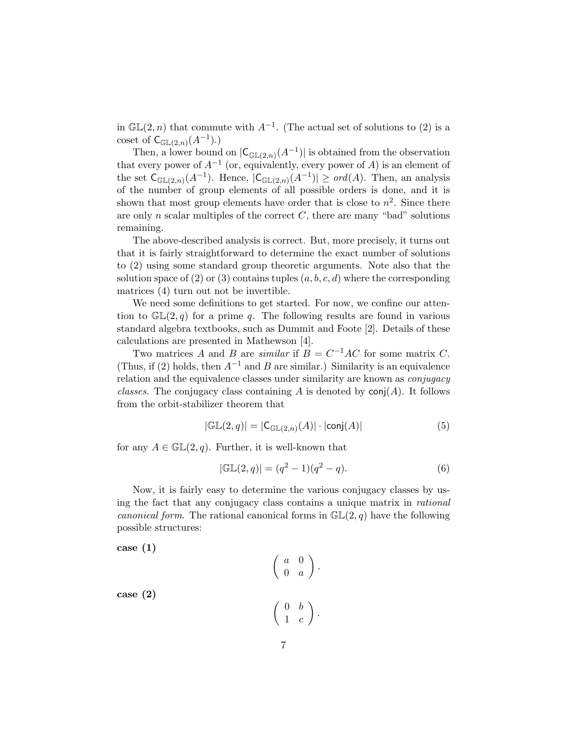in  $\mathbb{GL}(2,n)$  that commute with  $A^{-1}$ . (The actual set of solutions to (2) is a coset of  $\mathsf{C}_{\mathbb{G}\mathbb{L}(2,n)}(A^{-1})$ .)

Then, a lower bound on  $|C_{\mathbb{G}\mathbb{L}(2,n)}(A^{-1})|$  is obtained from the observation that every power of  $A^{-1}$  (or, equivalently, every power of A) is an element of the set  $\mathsf{C}_{\mathbb{GL}(2,n)}(A^{-1})$ . Hence,  $|\mathsf{C}_{\mathbb{GL}(2,n)}(A^{-1})| \geq \text{ord}(A)$ . Then, an analysis of the number of group elements of all possible orders is done, and it is shown that most group elements have order that is close to  $n^2$ . Since there are only n scalar multiples of the correct  $C$ , there are many "bad" solutions remaining.

The above-described analysis is correct. But, more precisely, it turns out that it is fairly straightforward to determine the exact number of solutions to (2) using some standard group theoretic arguments. Note also that the solution space of (2) or (3) contains tuples  $(a, b, c, d)$  where the corresponding matrices (4) turn out not be invertible.

We need some definitions to get started. For now, we confine our attention to  $\mathbb{GL}(2,q)$  for a prime q. The following results are found in various standard algebra textbooks, such as Dummit and Foote [2]. Details of these calculations are presented in Mathewson [4].

Two matrices A and B are *similar* if  $B = C^{-1}AC$  for some matrix C. (Thus, if (2) holds, then  $A^{-1}$  and B are similar.) Similarity is an equivalence relation and the equivalence classes under similarity are known as conjugacy classes. The conjugacy class containing A is denoted by  $\text{conj}(A)$ . It follows from the orbit-stabilizer theorem that

$$
|\mathbb{GL}(2,q)| = |\mathsf{C}_{\mathbb{GL}(2,n)}(A)| \cdot |\mathsf{conj}(A)| \tag{5}
$$

for any  $A \in \mathbb{GL}(2,q)$ . Further, it is well-known that

$$
|\mathbb{GL}(2,q)| = (q^2 - 1)(q^2 - q).
$$
 (6)

Now, it is fairly easy to determine the various conjugacy classes by using the fact that any conjugacy class contains a unique matrix in rational *canonical form.* The rational canonical forms in  $GL(2,q)$  have the following possible structures:

case (1)

 $\begin{pmatrix} a & 0 \\ 0 & 0 \\ 0 & 0 \\ 0 & 0 \\ 0 & 0 & 0 \\ 0 & 0 & 0 \\ 0 & 0 & 0 \\ 0 & 0 & 0 & 0 \\ 0 & 0 & 0 & 0 \\ 0 & 0 & 0 & 0 \\ 0 & 0 & 0 & 0 & 0 \\ 0 & 0 & 0 & 0 & 0 \\ 0 & 0 & 0 & 0 & 0 \\ 0 & 0 & 0 & 0 & 0 & 0 \\ 0 & 0 & 0 & 0 & 0 & 0 \\ 0 & 0 & 0 & 0 & 0 & 0 \\ 0 & 0 & 0 & 0 & 0 & 0 \\ 0 & 0 & 0 & 0$  $0 \quad a$  $\big).$ case (2)  $\begin{pmatrix} 0 & b \end{pmatrix}$  $1 \quad c$  $\bigg)$  .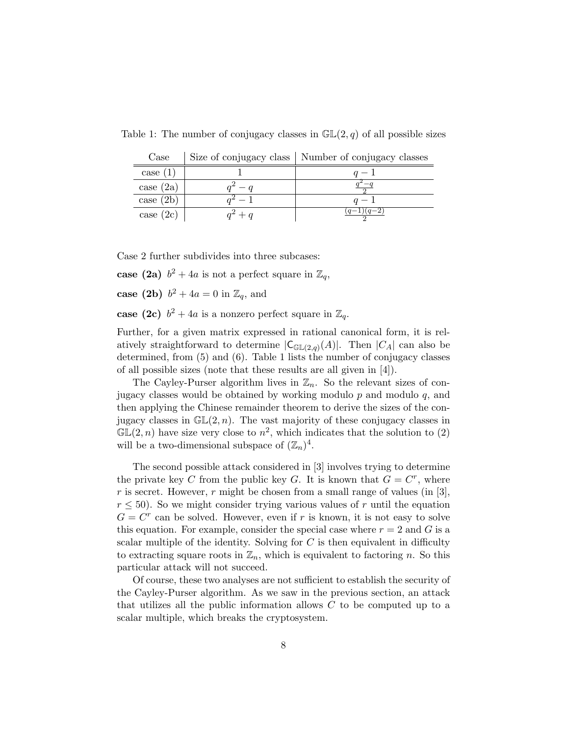Table 1: The number of conjugacy classes in  $\mathbb{GL}(2,q)$  of all possible sizes

| Case        |               | Size of conjugacy class   Number of conjugacy classes |  |  |  |  |
|-------------|---------------|-------------------------------------------------------|--|--|--|--|
| case $(1)$  |               |                                                       |  |  |  |  |
| case (2a)   | $\frac{a}{a}$ |                                                       |  |  |  |  |
| case $(2b)$ | $1 - 1$       |                                                       |  |  |  |  |
| case $(2c)$ | $a^2 + a$     | $(q-1)(q-2)$                                          |  |  |  |  |

Case 2 further subdivides into three subcases:

case (2a)  $b^2 + 4a$  is not a perfect square in  $\mathbb{Z}_q$ ,

case (2b)  $b^2 + 4a = 0$  in  $\mathbb{Z}_q$ , and

case (2c)  $b^2 + 4a$  is a nonzero perfect square in  $\mathbb{Z}_q$ .

Further, for a given matrix expressed in rational canonical form, it is relatively straightforward to determine  $|C_{\mathbb{G}\mathbb{L}(2,q)}(A)|$ . Then  $|C_A|$  can also be determined, from (5) and (6). Table 1 lists the number of conjugacy classes of all possible sizes (note that these results are all given in [4]).

The Cayley-Purser algorithm lives in  $\mathbb{Z}_n$ . So the relevant sizes of conjugacy classes would be obtained by working modulo  $p$  and modulo  $q$ , and then applying the Chinese remainder theorem to derive the sizes of the conjugacy classes in  $\mathbb{GL}(2,n)$ . The vast majority of these conjugacy classes in  $\mathbb{GL}(2,n)$  have size very close to  $n^2$ , which indicates that the solution to (2) will be a two-dimensional subspace of  $(\mathbb{Z}_n)^4$ .

The second possible attack considered in [3] involves trying to determine the private key C from the public key G. It is known that  $G = C^r$ , where r is secret. However, r might be chosen from a small range of values (in [3],  $r \leq 50$ ). So we might consider trying various values of r until the equation  $G = C<sup>r</sup>$  can be solved. However, even if r is known, it is not easy to solve this equation. For example, consider the special case where  $r = 2$  and G is a scalar multiple of the identity. Solving for  $C$  is then equivalent in difficulty to extracting square roots in  $\mathbb{Z}_n$ , which is equivalent to factoring n. So this particular attack will not succeed.

Of course, these two analyses are not sufficient to establish the security of the Cayley-Purser algorithm. As we saw in the previous section, an attack that utilizes all the public information allows  $C$  to be computed up to a scalar multiple, which breaks the cryptosystem.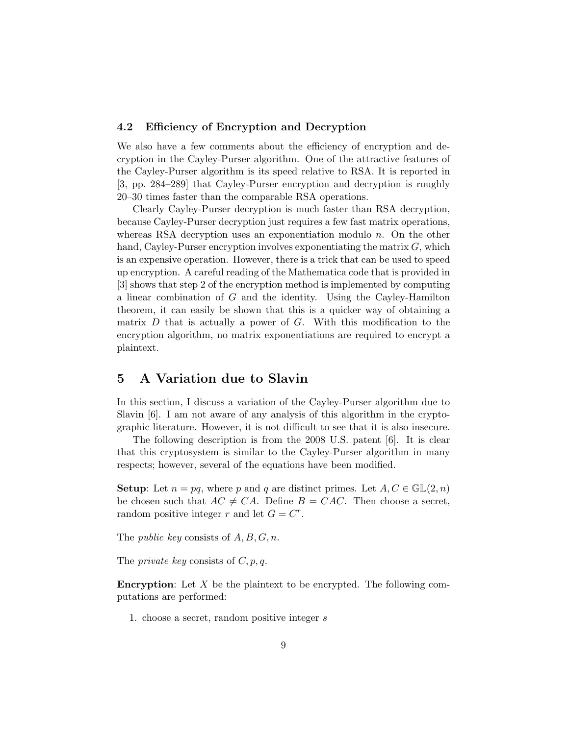## 4.2 Efficiency of Encryption and Decryption

We also have a few comments about the efficiency of encryption and decryption in the Cayley-Purser algorithm. One of the attractive features of the Cayley-Purser algorithm is its speed relative to RSA. It is reported in [3, pp. 284–289] that Cayley-Purser encryption and decryption is roughly 20–30 times faster than the comparable RSA operations.

Clearly Cayley-Purser decryption is much faster than RSA decryption, because Cayley-Purser decryption just requires a few fast matrix operations, whereas RSA decryption uses an exponentiation modulo  $n$ . On the other hand, Cayley-Purser encryption involves exponentiating the matrix  $G$ , which is an expensive operation. However, there is a trick that can be used to speed up encryption. A careful reading of the Mathematica code that is provided in [3] shows that step 2 of the encryption method is implemented by computing a linear combination of G and the identity. Using the Cayley-Hamilton theorem, it can easily be shown that this is a quicker way of obtaining a matrix  $D$  that is actually a power of  $G$ . With this modification to the encryption algorithm, no matrix exponentiations are required to encrypt a plaintext.

# 5 A Variation due to Slavin

In this section, I discuss a variation of the Cayley-Purser algorithm due to Slavin [6]. I am not aware of any analysis of this algorithm in the cryptographic literature. However, it is not difficult to see that it is also insecure.

The following description is from the 2008 U.S. patent [6]. It is clear that this cryptosystem is similar to the Cayley-Purser algorithm in many respects; however, several of the equations have been modified.

**Setup:** Let  $n = pq$ , where p and q are distinct primes. Let  $A, C \in \mathbb{GL}(2, n)$ be chosen such that  $AC \neq CA$ . Define  $B = CAC$ . Then choose a secret, random positive integer r and let  $G = C^r$ .

The *public key* consists of  $A, B, G, n$ .

The *private key* consists of  $C, p, q$ .

**Encryption:** Let  $X$  be the plaintext to be encrypted. The following computations are performed:

1. choose a secret, random positive integer s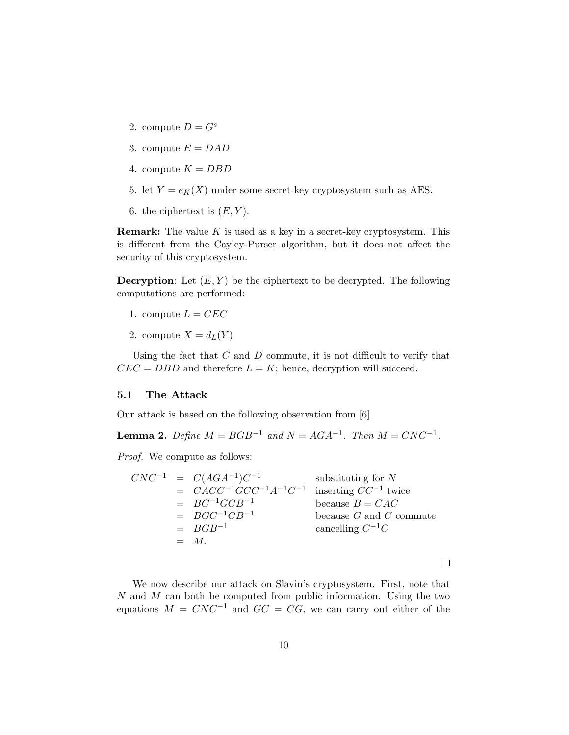- 2. compute  $D = G^s$
- 3. compute  $E = DAD$
- 4. compute  $K = DBD$
- 5. let  $Y = e_K(X)$  under some secret-key cryptosystem such as AES.
- 6. the ciphertext is  $(E, Y)$ .

**Remark:** The value  $K$  is used as a key in a secret-key cryptosystem. This is different from the Cayley-Purser algorithm, but it does not affect the security of this cryptosystem.

**Decryption:** Let  $(E, Y)$  be the ciphertext to be decrypted. The following computations are performed:

- 1. compute  $L = CEC$
- 2. compute  $X = d_L(Y)$

Using the fact that  $C$  and  $D$  commute, it is not difficult to verify that  $CEC = DBD$  and therefore  $L = K$ ; hence, decryption will succeed.

### 5.1 The Attack

Our attack is based on the following observation from [6].

**Lemma 2.** Define  $M = BGB^{-1}$  and  $N = AGA^{-1}$ . Then  $M = CNC^{-1}$ .

Proof. We compute as follows:

$$
CNC^{-1} = C(AGA^{-1})C^{-1}
$$
 substituting for  $N$   
\n
$$
= CACC^{-1}GCC^{-1}A^{-1}C^{-1}
$$
 inserting  $CC^{-1}$  twice  
\n
$$
= BC^{-1}GCB^{-1}
$$
  
\n
$$
= BGC^{-1}CB^{-1}
$$
  
\n
$$
= BGB^{-1}
$$
  
\n
$$
= M.
$$

 $\Box$ 

We now describe our attack on Slavin's cryptosystem. First, note that  $N$  and  $M$  can both be computed from public information. Using the two equations  $M = CNC^{-1}$  and  $GC = CG$ , we can carry out either of the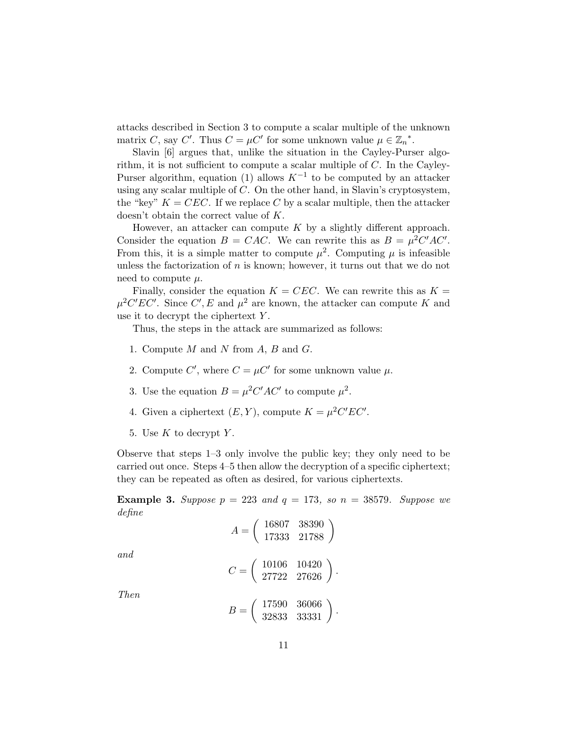attacks described in Section 3 to compute a scalar multiple of the unknown matrix C, say C'. Thus  $C = \mu C'$  for some unknown value  $\mu \in \mathbb{Z}_n^*$ .

Slavin [6] argues that, unlike the situation in the Cayley-Purser algorithm, it is not sufficient to compute a scalar multiple of  $C$ . In the Cayley-Purser algorithm, equation (1) allows  $K^{-1}$  to be computed by an attacker using any scalar multiple of  $C$ . On the other hand, in Slavin's cryptosystem, the "key"  $K = CEC$ . If we replace C by a scalar multiple, then the attacker doesn't obtain the correct value of K.

However, an attacker can compute  $K$  by a slightly different approach. Consider the equation  $B = CAC$ . We can rewrite this as  $B = \mu^2 C'AC'$ . From this, it is a simple matter to compute  $\mu^2$ . Computing  $\mu$  is infeasible unless the factorization of  $n$  is known; however, it turns out that we do not need to compute  $\mu$ .

Finally, consider the equation  $K = CEC$ . We can rewrite this as  $K =$  $\mu^2 C'EC'$ . Since C', E and  $\mu^2$  are known, the attacker can compute K and use it to decrypt the ciphertext  $Y$ .

Thus, the steps in the attack are summarized as follows:

- 1. Compute  $M$  and  $N$  from  $A, B$  and  $G$ .
- 2. Compute C', where  $C = \mu C'$  for some unknown value  $\mu$ .
- 3. Use the equation  $B = \mu^2 C'AC'$  to compute  $\mu^2$ .
- 4. Given a ciphertext  $(E, Y)$ , compute  $K = \mu^2 C'EC'$ .
- 5. Use  $K$  to decrypt  $Y$ .

Observe that steps 1–3 only involve the public key; they only need to be carried out once. Steps 4–5 then allow the decryption of a specific ciphertext; they can be repeated as often as desired, for various ciphertexts.

**Example 3.** Suppose  $p = 223$  and  $q = 173$ , so  $n = 38579$ . Suppose we define

$$
A = \left(\begin{array}{cc} 16807 & 38390 \\ 17333 & 21788 \end{array}\right)
$$

and

$$
C=\left(\begin{array}{cc}10106&10420\\27722&27626\end{array}\right).
$$

Then

$$
B = \left(\begin{array}{cc} 17590 & 36066 \\ 32833 & 33331 \end{array}\right).
$$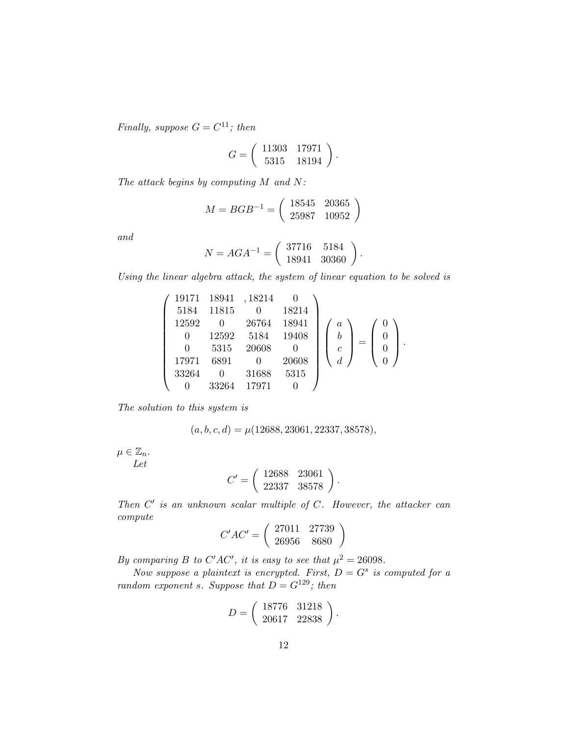Finally, suppose  $G = C^{11}$ ; then

$$
G = \left(\begin{array}{cc} 11303 & 17971 \\ 5315 & 18194 \end{array}\right).
$$

The attack begins by computing M and N:

$$
M = BGB^{-1} = \left(\begin{array}{cc} 18545 & 20365\\ 25987 & 10952 \end{array}\right)
$$

and

$$
N = AGA^{-1} = \begin{pmatrix} 37716 & 5184 \\ 18941 & 30360 \end{pmatrix}.
$$

Using the linear algebra attack, the system of linear equation to be solved is

$$
\left(\begin{array}{cccc} 19171 & 18941 & , 18214 & 0 \\ 5184 & 11815 & 0 & 18214 \\ 12592 & 0 & 26764 & 18941 \\ 0 & 12592 & 5184 & 19408 \\ 0 & 5315 & 20608 & 0 \\ 17971 & 6891 & 0 & 20608 \\ 33264 & 0 & 31688 & 5315 \\ 0 & 33264 & 17971 & 0 \end{array}\right) \left(\begin{array}{c} a \\ b \\ c \\ d \end{array}\right) = \left(\begin{array}{c} 0 \\ 0 \\ 0 \\ 0 \end{array}\right).
$$

The solution to this system is

$$
(a, b, c, d) = \mu(12688, 23061, 22337, 38578),
$$

 $\mu \in \mathbb{Z}_n$ . Let

$$
C' = \left(\begin{array}{cc} 12688 & 23061 \\ 22337 & 38578 \end{array}\right).
$$

Then  $C'$  is an unknown scalar multiple of  $C$ . However, the attacker can compute

$$
C'AC' = \left(\begin{array}{cc} 27011 & 27739 \\ 26956 & 8680 \end{array}\right)
$$

By comparing B to C'AC', it is easy to see that  $\mu^2 = 26098$ .

Now suppose a plaintext is encrypted. First,  $D = G<sup>s</sup>$  is computed for a random exponent s. Suppose that  $D = G^{129}$ ; then

$$
D = \left(\begin{array}{cc} 18776 & 31218 \\ 20617 & 22838 \end{array}\right).
$$